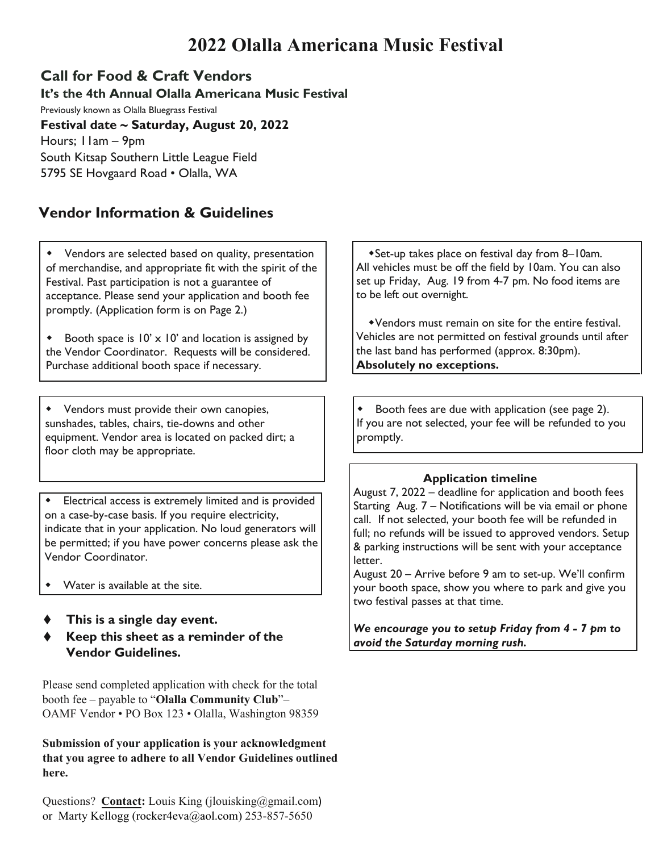## **2022 Olalla Americana Music Festival**

### **Call for Food & Craft Vendors**

**It's the 4th Annual Olalla Americana Music Festival**  Previously known as Olalla Bluegrass Festival **Festival date ~ Saturday, August 20, 2022** Hours; 11am – 9pm South Kitsap Southern Little League Field 5795 SE Hovgaard Road • Olalla, WA

### **Vendor Information & Guidelines**

 Vendors are selected based on quality, presentation of merchandise, and appropriate fit with the spirit of the Festival. Past participation is not a guarantee of acceptance. Please send your application and booth fee promptly. (Application form is on Page 2.)

 the Vendor Coordinator. Requests will be considered. Booth space is  $10' \times 10'$  and location is assigned by Purchase additional booth space if necessary.

 Vendors must provide their own canopies, sunshades, tables, chairs, tie-downs and other equipment. Vendor area is located on packed dirt; a floor cloth may be appropriate.

 Electrical access is extremely limited and is provided on a case-by-case basis. If you require electricity, indicate that in your application. No loud generators will be permitted; if you have power concerns please ask the Vendor Coordinator.

- Water is available at the site.
- ♦ **This is a single day event.**
- ♦ **Keep this sheet as a reminder of the Vendor Guidelines.**

Please send completed application with check for the total booth fee – payable to "**Olalla Community Club**"– OAMF Vendor • PO Box 123 • Olalla, Washington 98359

**Submission of your application is your acknowledgment that you agree to adhere to all Vendor Guidelines outlined here.**

Questions? **Contact:** Louis King (jlouisking@gmail.com) or Marty Kellogg [\(rocker4eva@aol.com\)](mailto:rocker4eva@aol.com) 253-857-5650

Set-up takes place on festival day from 8–10am. All vehicles must be off the field by 10am. You can also set up Friday, Aug. 19 from 4-7 pm. No food items are to be left out overnight.

Vendors must remain on site for the entire festival. Vehicles are not permitted on festival grounds until after the last band has performed (approx. 8:30pm). **Absolutely no exceptions.**

 Booth fees are due with application (see page 2). If you are not selected, your fee will be refunded to you promptly.

#### **Application timeline**

August 7, 2022 – deadline for application and booth fees Starting Aug. 7 – Notifications will be via email or phone call. If not selected, your booth fee will be refunded in full; no refunds will be issued to approved vendors. Setup & parking instructions will be sent with your acceptance letter.

August 20 – Arrive before 9 am to set-up. We'll confirm your booth space, show you where to park and give you two festival passes at that time.

*We encourage you to setup Friday from 4 - 7 pm to avoid the Saturday morning rush.*